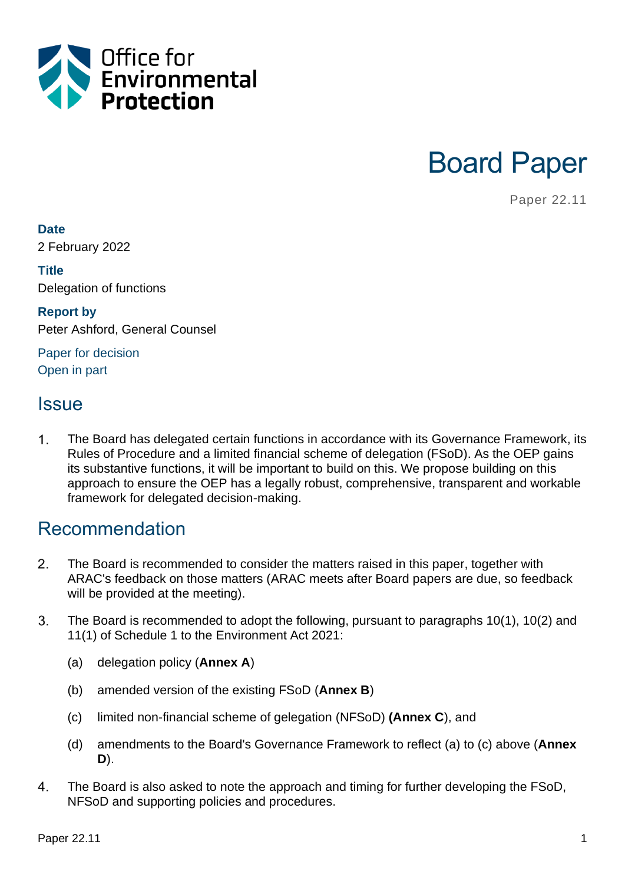



Paper 22.11

#### **Date**

2 February 2022

#### **Title** Delegation of functions

**Report by** Peter Ashford, General Counsel

Paper for decision Open in part

### **Issue**

 $\mathbf 1$ . The Board has delegated certain functions in accordance with its Governance Framework, its Rules of Procedure and a limited financial scheme of delegation (FSoD). As the OEP gains its substantive functions, it will be important to build on this. We propose building on this approach to ensure the OEP has a legally robust, comprehensive, transparent and workable framework for delegated decision-making.

### Recommendation

- $2.$ The Board is recommended to consider the matters raised in this paper, together with ARAC's feedback on those matters (ARAC meets after Board papers are due, so feedback will be provided at the meeting).
- $3<sub>1</sub>$ The Board is recommended to adopt the following, pursuant to paragraphs 10(1), 10(2) and 11(1) of Schedule 1 to the Environment Act 2021:
	- (a) delegation policy (**Annex A**)
	- (b) amended version of the existing FSoD (**Annex B**)
	- (c) limited non-financial scheme of gelegation (NFSoD) **(Annex C**), and
	- (d) amendments to the Board's Governance Framework to reflect (a) to (c) above (**Annex D**).
- 4. The Board is also asked to note the approach and timing for further developing the FSoD, NFSoD and supporting policies and procedures.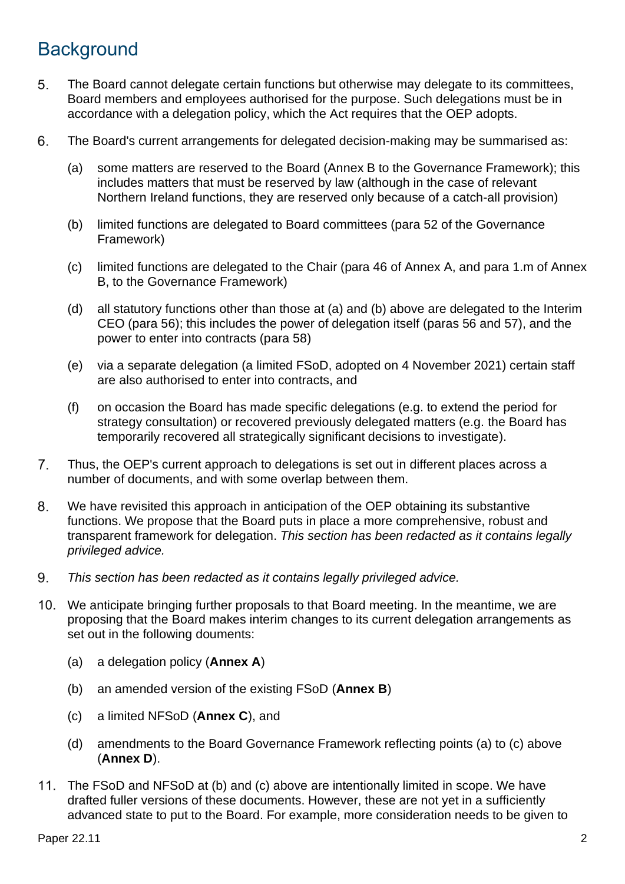# **Background**

- 5. The Board cannot delegate certain functions but otherwise may delegate to its committees, Board members and employees authorised for the purpose. Such delegations must be in accordance with a delegation policy, which the Act requires that the OEP adopts.
- The Board's current arrangements for delegated decision-making may be summarised as: 6.
	- (a) some matters are reserved to the Board (Annex B to the Governance Framework); this includes matters that must be reserved by law (although in the case of relevant Northern Ireland functions, they are reserved only because of a catch-all provision)
	- (b) limited functions are delegated to Board committees (para 52 of the Governance Framework)
	- (c) limited functions are delegated to the Chair (para 46 of Annex A, and para 1.m of Annex B, to the Governance Framework)
	- (d) all statutory functions other than those at (a) and (b) above are delegated to the Interim CEO (para 56); this includes the power of delegation itself (paras 56 and 57), and the power to enter into contracts (para 58)
	- (e) via a separate delegation (a limited FSoD, adopted on 4 November 2021) certain staff are also authorised to enter into contracts, and
	- (f) on occasion the Board has made specific delegations (e.g. to extend the period for strategy consultation) or recovered previously delegated matters (e.g. the Board has temporarily recovered all strategically significant decisions to investigate).
- 7. Thus, the OEP's current approach to delegations is set out in different places across a number of documents, and with some overlap between them.
- 8. We have revisited this approach in anticipation of the OEP obtaining its substantive functions. We propose that the Board puts in place a more comprehensive, robust and transparent framework for delegation. *This section has been redacted as it contains legally privileged advice.*
- 9. *This section has been redacted as it contains legally privileged advice.*
- 10. We anticipate bringing further proposals to that Board meeting. In the meantime, we are proposing that the Board makes interim changes to its current delegation arrangements as set out in the following douments:
	- (a) a delegation policy (**Annex A**)
	- (b) an amended version of the existing FSoD (**Annex B**)
	- (c) a limited NFSoD (**Annex C**), and
	- (d) amendments to the Board Governance Framework reflecting points (a) to (c) above (**Annex D**).
- The FSoD and NFSoD at (b) and (c) above are intentionally limited in scope. We have drafted fuller versions of these documents. However, these are not yet in a sufficiently advanced state to put to the Board. For example, more consideration needs to be given to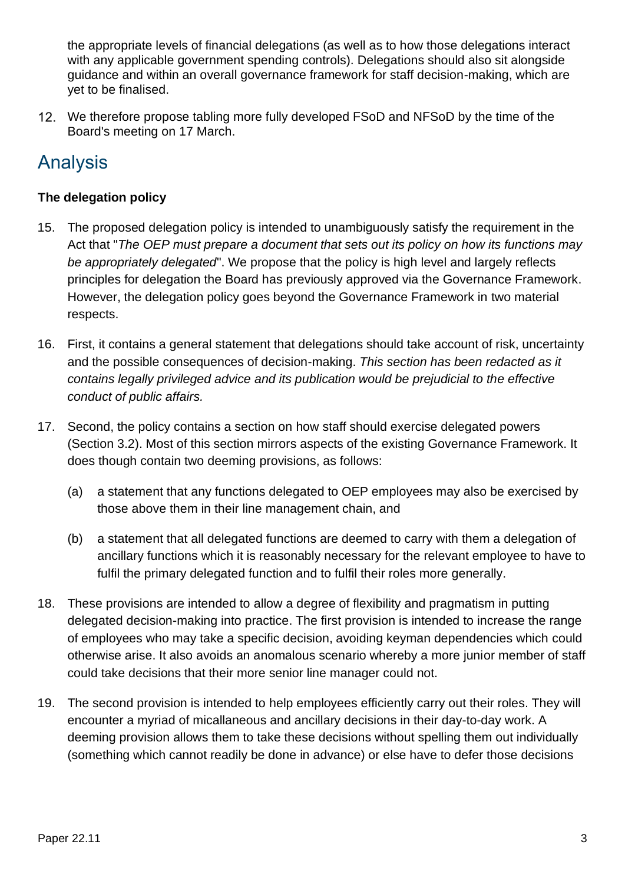the appropriate levels of financial delegations (as well as to how those delegations interact with any applicable government spending controls). Delegations should also sit alongside guidance and within an overall governance framework for staff decision-making, which are yet to be finalised.

We therefore propose tabling more fully developed FSoD and NFSoD by the time of the Board's meeting on 17 March.

# Analysis

#### **The delegation policy**

- 15. The proposed delegation policy is intended to unambiguously satisfy the requirement in the Act that "*The OEP must prepare a document that sets out its policy on how its functions may be appropriately delegated*". We propose that the policy is high level and largely reflects principles for delegation the Board has previously approved via the Governance Framework. However, the delegation policy goes beyond the Governance Framework in two material respects.
- 16. First, it contains a general statement that delegations should take account of risk, uncertainty and the possible consequences of decision-making. *This section has been redacted as it contains legally privileged advice and its publication would be prejudicial to the effective conduct of public affairs.*
- 17. Second, the policy contains a section on how staff should exercise delegated powers (Section 3.2). Most of this section mirrors aspects of the existing Governance Framework. It does though contain two deeming provisions, as follows:
	- (a) a statement that any functions delegated to OEP employees may also be exercised by those above them in their line management chain, and
	- (b) a statement that all delegated functions are deemed to carry with them a delegation of ancillary functions which it is reasonably necessary for the relevant employee to have to fulfil the primary delegated function and to fulfil their roles more generally.
- 18. These provisions are intended to allow a degree of flexibility and pragmatism in putting delegated decision-making into practice. The first provision is intended to increase the range of employees who may take a specific decision, avoiding keyman dependencies which could otherwise arise. It also avoids an anomalous scenario whereby a more junior member of staff could take decisions that their more senior line manager could not.
- 19. The second provision is intended to help employees efficiently carry out their roles. They will encounter a myriad of micallaneous and ancillary decisions in their day-to-day work. A deeming provision allows them to take these decisions without spelling them out individually (something which cannot readily be done in advance) or else have to defer those decisions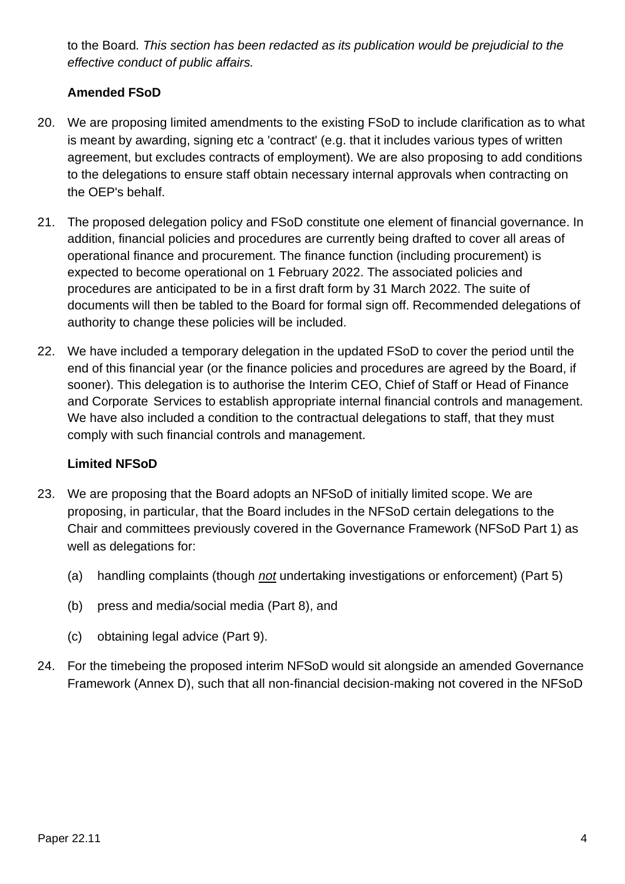to the Board*. This section has been redacted as its publication would be prejudicial to the effective conduct of public affairs.*

#### **Amended FSoD**

- 20. We are proposing limited amendments to the existing FSoD to include clarification as to what is meant by awarding, signing etc a 'contract' (e.g. that it includes various types of written agreement, but excludes contracts of employment). We are also proposing to add conditions to the delegations to ensure staff obtain necessary internal approvals when contracting on the OEP's behalf.
- 21. The proposed delegation policy and FSoD constitute one element of financial governance. In addition, financial policies and procedures are currently being drafted to cover all areas of operational finance and procurement. The finance function (including procurement) is expected to become operational on 1 February 2022. The associated policies and procedures are anticipated to be in a first draft form by 31 March 2022. The suite of documents will then be tabled to the Board for formal sign off. Recommended delegations of authority to change these policies will be included.
- 22. We have included a temporary delegation in the updated FSoD to cover the period until the end of this financial year (or the finance policies and procedures are agreed by the Board, if sooner). This delegation is to authorise the Interim CEO, Chief of Staff or Head of Finance and Corporate Services to establish appropriate internal financial controls and management. We have also included a condition to the contractual delegations to staff, that they must comply with such financial controls and management.

#### **Limited NFSoD**

- 23. We are proposing that the Board adopts an NFSoD of initially limited scope. We are proposing, in particular, that the Board includes in the NFSoD certain delegations to the Chair and committees previously covered in the Governance Framework (NFSoD Part 1) as well as delegations for:
	- (a) handling complaints (though *not* undertaking investigations or enforcement) (Part 5)
	- (b) press and media/social media (Part 8), and
	- (c) obtaining legal advice (Part 9).
- 24. For the timebeing the proposed interim NFSoD would sit alongside an amended Governance Framework (Annex D), such that all non-financial decision-making not covered in the NFSoD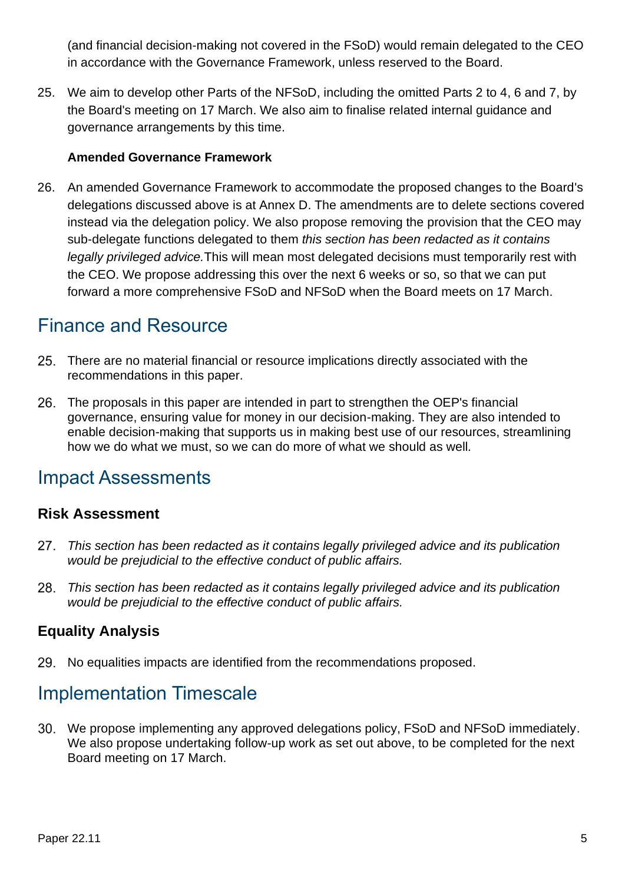(and financial decision-making not covered in the FSoD) would remain delegated to the CEO in accordance with the Governance Framework, unless reserved to the Board.

25. We aim to develop other Parts of the NFSoD, including the omitted Parts 2 to 4, 6 and 7, by the Board's meeting on 17 March. We also aim to finalise related internal guidance and governance arrangements by this time.

#### **Amended Governance Framework**

26. An amended Governance Framework to accommodate the proposed changes to the Board's delegations discussed above is at Annex D. The amendments are to delete sections covered instead via the delegation policy. We also propose removing the provision that the CEO may sub-delegate functions delegated to them *this section has been redacted as it contains legally privileged advice.*This will mean most delegated decisions must temporarily rest with the CEO. We propose addressing this over the next 6 weeks or so, so that we can put forward a more comprehensive FSoD and NFSoD when the Board meets on 17 March.

## Finance and Resource

- There are no material financial or resource implications directly associated with the recommendations in this paper.
- The proposals in this paper are intended in part to strengthen the OEP's financial governance, ensuring value for money in our decision-making. They are also intended to enable decision-making that supports us in making best use of our resources, streamlining how we do what we must, so we can do more of what we should as well*.*

### Impact Assessments

### **Risk Assessment**

- 27. *This section has been redacted as it contains legally privileged advice and its publication would be prejudicial to the effective conduct of public affairs.*
- 28. *This section has been redacted as it contains legally privileged advice and its publication would be prejudicial to the effective conduct of public affairs.*

### **Equality Analysis**

29. No equalities impacts are identified from the recommendations proposed.

## Implementation Timescale

We propose implementing any approved delegations policy, FSoD and NFSoD immediately. We also propose undertaking follow-up work as set out above, to be completed for the next Board meeting on 17 March.